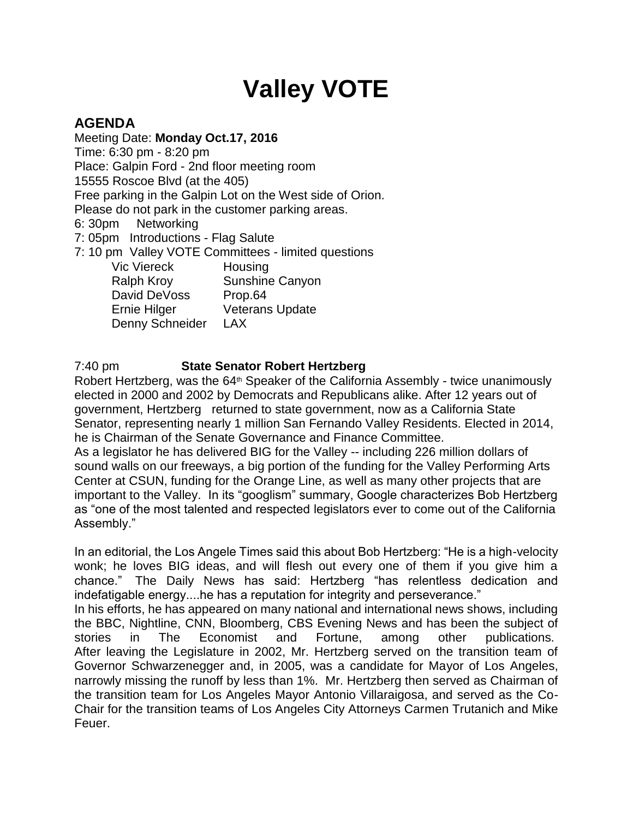## **Valley VOTE**

## **AGENDA**

Meeting Date: **Monday Oct.17, 2016** Time: 6:30 pm - 8:20 pm Place: Galpin Ford - 2nd floor meeting room 15555 Roscoe Blvd (at the 405) Free parking in the Galpin Lot on the West side of Orion. Please do not park in the customer parking areas. 6: 30pm Networking 7: 05pm Introductions - Flag Salute 7: 10 pm Valley VOTE Committees - limited questions Vic Viereck Housing Ralph Kroy Sunshine Canyon David DeVoss Prop.64 Ernie Hilger Veterans Update Denny Schneider LAX

7:40 pm **State Senator Robert Hertzberg**

Robert Hertzberg, was the 64<sup>th</sup> Speaker of the California Assembly - twice unanimously elected in 2000 and 2002 by Democrats and Republicans alike. After 12 years out of government, Hertzberg returned to state government, now as a California State Senator, representing nearly 1 million San Fernando Valley Residents. Elected in 2014, he is Chairman of the Senate Governance and Finance Committee.

As a legislator he has delivered BIG for the Valley -- including 226 million dollars of sound walls on our freeways, a big portion of the funding for the Valley Performing Arts Center at CSUN, funding for the Orange Line, as well as many other projects that are important to the Valley. In its "googlism" summary, Google characterizes Bob Hertzberg as "one of the most talented and respected legislators ever to come out of the California Assembly."

In an editorial, the Los Angele Times said this about Bob Hertzberg: "He is a high-velocity wonk; he loves BIG ideas, and will flesh out every one of them if you give him a chance." The Daily News has said: Hertzberg "has relentless dedication and indefatigable energy....he has a reputation for integrity and perseverance." In his efforts, he has appeared on many national and international news shows, including the BBC, Nightline, CNN, Bloomberg, CBS Evening News and has been the subject of stories in The Economist and Fortune, among other publications. After leaving the Legislature in 2002, Mr. Hertzberg served on the transition team of Governor Schwarzenegger and, in 2005, was a candidate for Mayor of Los Angeles, narrowly missing the runoff by less than 1%. Mr. Hertzberg then served as Chairman of the transition team for Los Angeles Mayor Antonio Villaraigosa, and served as the Co-Chair for the transition teams of Los Angeles City Attorneys Carmen Trutanich and Mike Feuer.